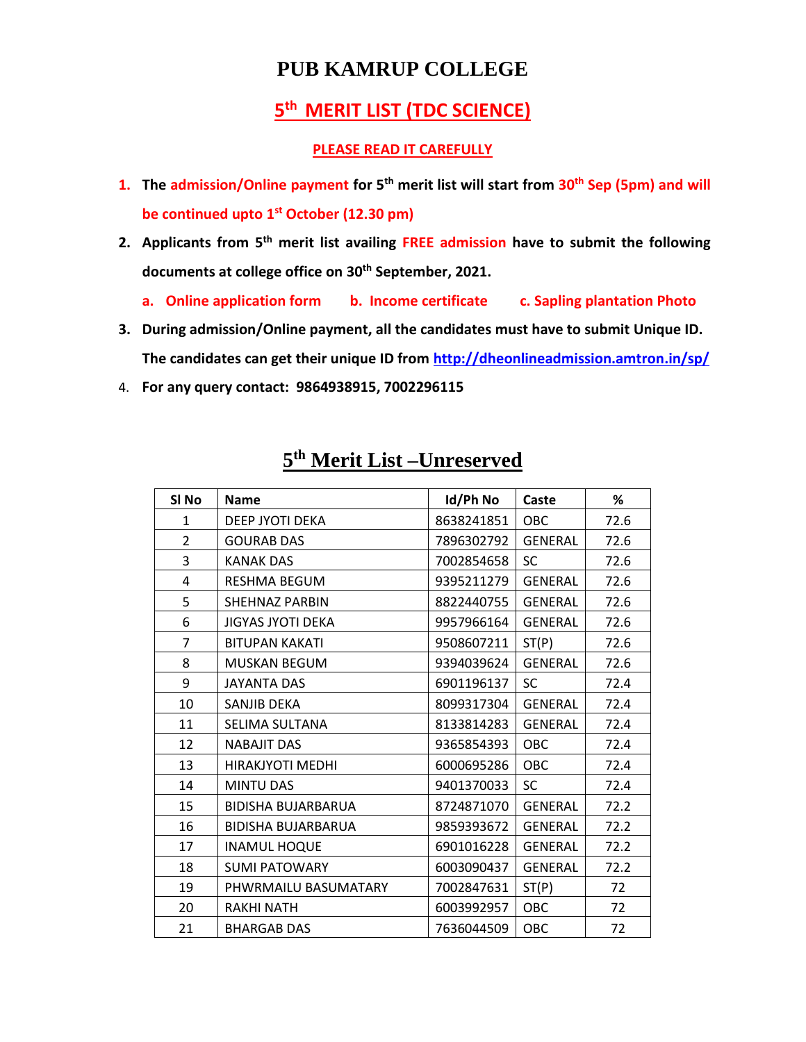## **PUB KAMRUP COLLEGE**

## **th MERIT LIST (TDC SCIENCE)**

## **PLEASE READ IT CAREFULLY**

- **1. The admission/Online payment for 5 th merit list will start from 30th Sep (5pm) and will be continued upto 1 st October (12.30 pm)**
- **2. Applicants from 5 th merit list availing FREE admission have to submit the following documents at college office on 30th September, 2021.**
	- **a. Online application form b. Income certificate c. Sapling plantation Photo**
- **3. During admission/Online payment, all the candidates must have to submit Unique ID. The candidates can get their unique ID from<http://dheonlineadmission.amtron.in/sp/>**
- 4. **For any query contact: 9864938915, 7002296115**

| SI <sub>No</sub> | <b>Name</b>               | Id/Ph No   | Caste          | %    |
|------------------|---------------------------|------------|----------------|------|
| $\mathbf{1}$     | DEEP JYOTI DEKA           | 8638241851 | <b>OBC</b>     | 72.6 |
| $\overline{2}$   | <b>GOURAB DAS</b>         | 7896302792 | <b>GENERAL</b> | 72.6 |
| 3                | <b>KANAK DAS</b>          | 7002854658 | <b>SC</b>      | 72.6 |
| 4                | <b>RESHMA BEGUM</b>       | 9395211279 | <b>GENERAL</b> | 72.6 |
| 5                | <b>SHEHNAZ PARBIN</b>     | 8822440755 | <b>GENERAL</b> | 72.6 |
| 6                | JIGYAS JYOTI DEKA         | 9957966164 | <b>GENERAL</b> | 72.6 |
| $\overline{7}$   | <b>BITUPAN KAKATI</b>     | 9508607211 | ST(P)          | 72.6 |
| 8                | <b>MUSKAN BEGUM</b>       | 9394039624 | <b>GENERAL</b> | 72.6 |
| 9                | JAYANTA DAS               | 6901196137 | <b>SC</b>      | 72.4 |
| 10               | SANJIB DEKA               | 8099317304 | <b>GENERAL</b> | 72.4 |
| 11               | SELIMA SULTANA            | 8133814283 | <b>GENERAL</b> | 72.4 |
| 12               | <b>NABAJIT DAS</b>        | 9365854393 | OBC            | 72.4 |
| 13               | <b>HIRAKJYOTI MEDHI</b>   | 6000695286 | OBC            | 72.4 |
| 14               | <b>MINTU DAS</b>          | 9401370033 | SC             | 72.4 |
| 15               | <b>BIDISHA BUJARBARUA</b> | 8724871070 | <b>GENERAL</b> | 72.2 |
| 16               | <b>BIDISHA BUJARBARUA</b> | 9859393672 | <b>GENERAL</b> | 72.2 |
| 17               | <b>INAMUL HOQUE</b>       | 6901016228 | <b>GENERAL</b> | 72.2 |
| 18               | <b>SUMI PATOWARY</b>      | 6003090437 | <b>GENERAL</b> | 72.2 |
| 19               | PHWRMAILU BASUMATARY      | 7002847631 | ST(P)          | 72   |
| 20               | <b>RAKHI NATH</b>         | 6003992957 | OBC            | 72   |
| 21               | <b>BHARGAB DAS</b>        | 7636044509 | OBC            | 72   |

## **th Merit List –Unreserved**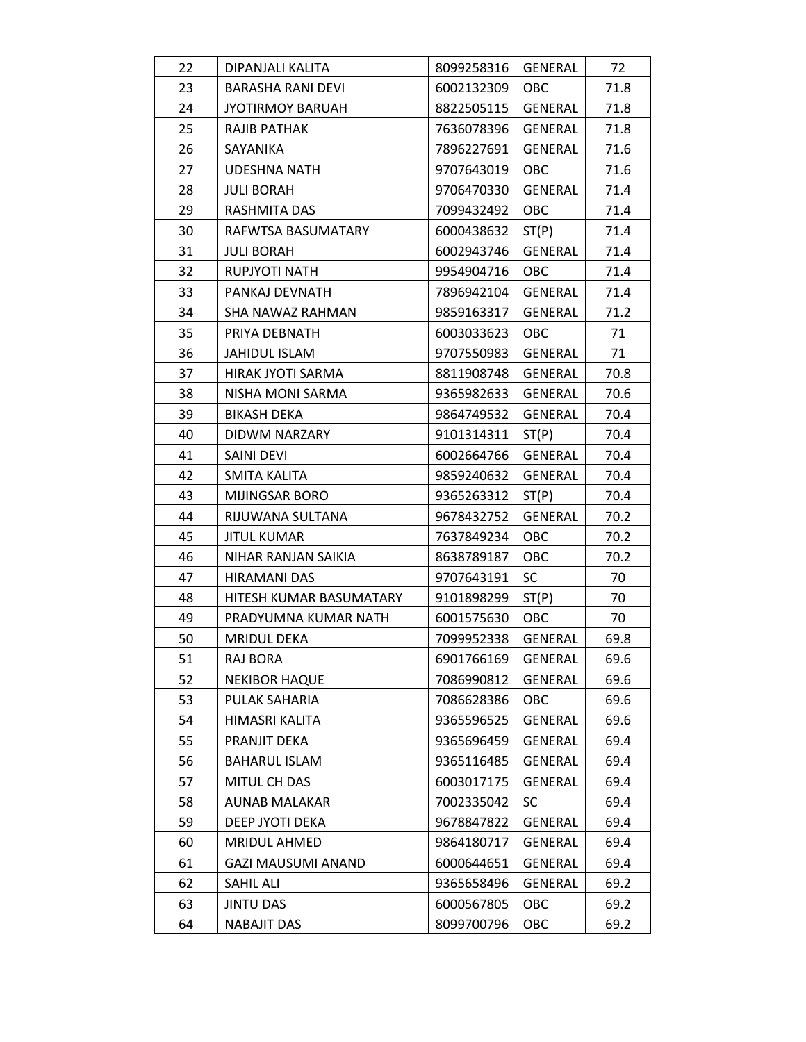| 22 | DIPANJALI KALITA          | 8099258316 | GENERAL        | 72   |
|----|---------------------------|------------|----------------|------|
| 23 | BARASHA RANI DEVI         | 6002132309 | <b>OBC</b>     | 71.8 |
| 24 | <b>JYOTIRMOY BARUAH</b>   | 8822505115 | GENERAL        | 71.8 |
| 25 | RAJIB PATHAK              | 7636078396 | GENERAL        | 71.8 |
| 26 | SAYANIKA                  | 7896227691 | GENERAL        | 71.6 |
| 27 | <b>UDESHNA NATH</b>       | 9707643019 | <b>OBC</b>     | 71.6 |
| 28 | <b>JULI BORAH</b>         | 9706470330 | <b>GENERAL</b> | 71.4 |
| 29 | RASHMITA DAS              | 7099432492 | OBC            | 71.4 |
| 30 | RAFWTSA BASUMATARY        | 6000438632 | ST(P)          | 71.4 |
| 31 | <b>JULI BORAH</b>         | 6002943746 | <b>GENERAL</b> | 71.4 |
| 32 | RUPJYOTI NATH             | 9954904716 | <b>OBC</b>     | 71.4 |
| 33 | PANKAJ DEVNATH            | 7896942104 | GENERAL        | 71.4 |
| 34 | SHA NAWAZ RAHMAN          | 9859163317 | <b>GENERAL</b> | 71.2 |
| 35 | PRIYA DEBNATH             | 6003033623 | <b>OBC</b>     | 71   |
| 36 | JAHIDUL ISLAM             | 9707550983 | GENERAL        | 71   |
| 37 | HIRAK JYOTI SARMA         | 8811908748 | <b>GENERAL</b> | 70.8 |
| 38 | NISHA MONI SARMA          | 9365982633 | <b>GENERAL</b> | 70.6 |
| 39 | <b>BIKASH DEKA</b>        | 9864749532 | GENERAL        | 70.4 |
| 40 | DIDWM NARZARY             | 9101314311 | ST(P)          | 70.4 |
| 41 | SAINI DEVI                | 6002664766 | <b>GENERAL</b> | 70.4 |
| 42 | SMITA KALITA              | 9859240632 | GENERAL        | 70.4 |
| 43 | MIJINGSAR BORO            | 9365263312 | ST(P)          | 70.4 |
| 44 | RIJUWANA SULTANA          | 9678432752 | GENERAL        | 70.2 |
| 45 | <b>JITUL KUMAR</b>        | 7637849234 | OBC            | 70.2 |
| 46 | NIHAR RANJAN SAIKIA       | 8638789187 | OBC            | 70.2 |
| 47 | HIRAMANI DAS              | 9707643191 | <b>SC</b>      | 70   |
| 48 | HITESH KUMAR BASUMATARY   | 9101898299 | ST(P)          | 70   |
| 49 | PRADYUMNA KUMAR NATH      | 6001575630 | OBC            | 70   |
| 50 | <b>MRIDUL DEKA</b>        | 7099952338 | <b>GENERAL</b> | 69.8 |
| 51 | <b>RAJ BORA</b>           | 6901766169 | <b>GENERAL</b> | 69.6 |
| 52 | <b>NEKIBOR HAQUE</b>      | 7086990812 | GENERAL        | 69.6 |
| 53 | PULAK SAHARIA             | 7086628386 | OBC            | 69.6 |
| 54 | HIMASRI KALITA            | 9365596525 | <b>GENERAL</b> | 69.6 |
| 55 | PRANJIT DEKA              | 9365696459 | <b>GENERAL</b> | 69.4 |
| 56 | <b>BAHARUL ISLAM</b>      | 9365116485 | <b>GENERAL</b> | 69.4 |
| 57 | MITUL CH DAS              | 6003017175 | GENERAL        | 69.4 |
| 58 | <b>AUNAB MALAKAR</b>      | 7002335042 | <b>SC</b>      | 69.4 |
| 59 | DEEP JYOTI DEKA           | 9678847822 | <b>GENERAL</b> | 69.4 |
| 60 | MRIDUL AHMED              | 9864180717 | <b>GENERAL</b> | 69.4 |
| 61 | <b>GAZI MAUSUMI ANAND</b> | 6000644651 | <b>GENERAL</b> | 69.4 |
| 62 | SAHIL ALI                 | 9365658496 | GENERAL        | 69.2 |
| 63 | <b>JINTU DAS</b>          | 6000567805 | OBC            | 69.2 |
| 64 | <b>NABAJIT DAS</b>        | 8099700796 | OBC            | 69.2 |